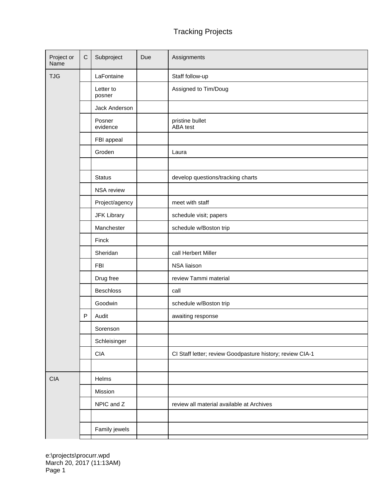## Tracking Projects

| Project or<br>Name | $\mathsf C$ | Subproject          | Due | Assignments                                               |
|--------------------|-------------|---------------------|-----|-----------------------------------------------------------|
| <b>TJG</b>         |             | LaFontaine          |     | Staff follow-up                                           |
|                    |             | Letter to<br>posner |     | Assigned to Tim/Doug                                      |
|                    |             | Jack Anderson       |     |                                                           |
|                    |             | Posner<br>evidence  |     | pristine bullet<br>ABA test                               |
|                    |             | FBI appeal          |     |                                                           |
|                    |             | Groden              |     | Laura                                                     |
|                    |             |                     |     |                                                           |
|                    |             | <b>Status</b>       |     | develop questions/tracking charts                         |
|                    |             | NSA review          |     |                                                           |
|                    |             | Project/agency      |     | meet with staff                                           |
|                    |             | <b>JFK Library</b>  |     | schedule visit; papers                                    |
|                    |             | Manchester          |     | schedule w/Boston trip                                    |
|                    |             | Finck               |     |                                                           |
|                    |             | Sheridan            |     | call Herbert Miller                                       |
|                    |             | <b>FBI</b>          |     | NSA liaison                                               |
|                    |             | Drug free           |     | review Tammi material                                     |
|                    |             | <b>Beschloss</b>    |     | call                                                      |
|                    |             | Goodwin             |     | schedule w/Boston trip                                    |
|                    | $\sf P$     | Audit               |     | awaiting response                                         |
|                    |             | Sorenson            |     |                                                           |
|                    |             | Schleisinger        |     |                                                           |
|                    |             | <b>CIA</b>          |     | CI Staff letter; review Goodpasture history; review CIA-1 |
|                    |             |                     |     |                                                           |
| <b>CIA</b>         |             | Helms               |     |                                                           |
|                    |             | Mission             |     |                                                           |
|                    |             | NPIC and Z          |     | review all material available at Archives                 |
|                    |             |                     |     |                                                           |
|                    |             | Family jewels       |     |                                                           |

e:\projects\procurr.wpd March 20, 2017 (11:13AM) Page 1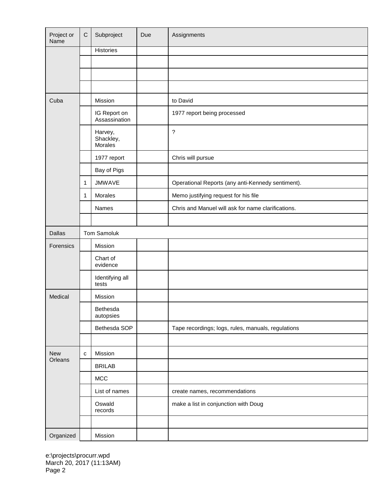| Project or<br>Name | $\mathsf{C}$ | Subproject                                   | Due | Assignments                                        |
|--------------------|--------------|----------------------------------------------|-----|----------------------------------------------------|
|                    |              | Histories                                    |     |                                                    |
|                    |              |                                              |     |                                                    |
|                    |              |                                              |     |                                                    |
|                    |              |                                              |     |                                                    |
| Cuba               |              | Mission                                      |     | to David                                           |
|                    |              | IG Report on<br>Assassination                |     | 1977 report being processed                        |
|                    |              | Harvey,<br>Shackley,<br>Morales <sup>®</sup> |     | $\overline{?}$                                     |
|                    |              | 1977 report                                  |     | Chris will pursue                                  |
|                    |              | Bay of Pigs                                  |     |                                                    |
|                    | 1            | <b>JMWAVE</b>                                |     | Operational Reports (any anti-Kennedy sentiment).  |
|                    | 1            | Morales                                      |     | Memo justifying request for his file               |
|                    |              | Names                                        |     | Chris and Manuel will ask for name clarifications. |
|                    |              |                                              |     |                                                    |
| <b>Dallas</b>      |              | Tom Samoluk                                  |     |                                                    |
| Forensics          |              | Mission                                      |     |                                                    |
|                    |              | Chart of<br>evidence                         |     |                                                    |
|                    |              | Identifying all<br>tests                     |     |                                                    |
| Medical            |              | Mission                                      |     |                                                    |
|                    |              | Bethesda<br>autopsies                        |     |                                                    |
|                    |              | Bethesda SOP                                 |     | Tape recordings; logs, rules, manuals, regulations |
|                    |              |                                              |     |                                                    |
| <b>New</b>         | c            | Mission                                      |     |                                                    |
| Orleans            |              | <b>BRILAB</b>                                |     |                                                    |
|                    |              | MCC                                          |     |                                                    |
|                    |              | List of names                                |     | create names, recommendations                      |
|                    |              | Oswald<br>records                            |     | make a list in conjunction with Doug               |
|                    |              |                                              |     |                                                    |
| Organized          |              | Mission                                      |     |                                                    |

e:\projects\procurr.wpd March 20, 2017 (11:13AM) Page 2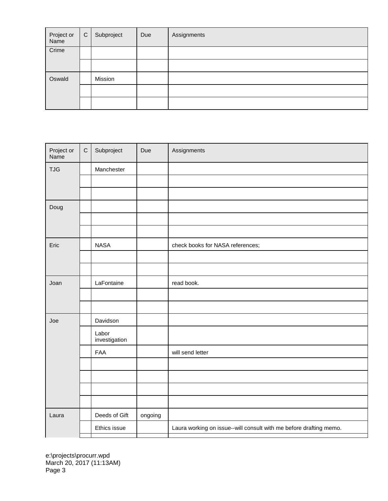| Project or<br>Name | $\mathsf{C}$ | Subproject | Due | Assignments |
|--------------------|--------------|------------|-----|-------------|
| Crime              |              |            |     |             |
|                    |              |            |     |             |
| Oswald             |              | Mission    |     |             |
|                    |              |            |     |             |
|                    |              |            |     |             |

| Project or<br>Name | $\mathsf{C}$ | Subproject             | Due     | Assignments                                                        |
|--------------------|--------------|------------------------|---------|--------------------------------------------------------------------|
| <b>TJG</b>         |              | Manchester             |         |                                                                    |
|                    |              |                        |         |                                                                    |
|                    |              |                        |         |                                                                    |
| Doug               |              |                        |         |                                                                    |
|                    |              |                        |         |                                                                    |
|                    |              |                        |         |                                                                    |
| Eric               |              | <b>NASA</b>            |         | check books for NASA references;                                   |
|                    |              |                        |         |                                                                    |
|                    |              |                        |         |                                                                    |
| Joan               |              | LaFontaine             |         | read book.                                                         |
|                    |              |                        |         |                                                                    |
|                    |              |                        |         |                                                                    |
| Joe                |              | Davidson               |         |                                                                    |
|                    |              | Labor<br>investigation |         |                                                                    |
|                    |              | FAA                    |         | will send letter                                                   |
|                    |              |                        |         |                                                                    |
|                    |              |                        |         |                                                                    |
|                    |              |                        |         |                                                                    |
|                    |              |                        |         |                                                                    |
| Laura              |              | Deeds of Gift          | ongoing |                                                                    |
|                    |              | Ethics issue           |         | Laura working on issue--will consult with me before drafting memo. |
|                    |              |                        |         |                                                                    |

e:\projects\procurr.wpd March 20, 2017 (11:13AM) Page 3